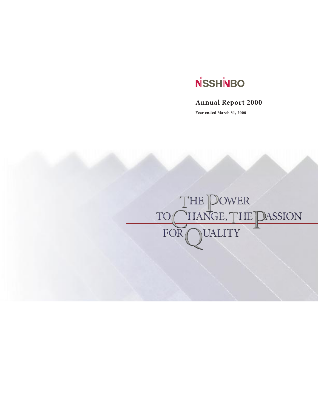

### **Annual Report 2000**

**Year ended March 31, 2000**

# THE DOWER<br>TO CHANGE, THE DASSION<br>FOR QUALITY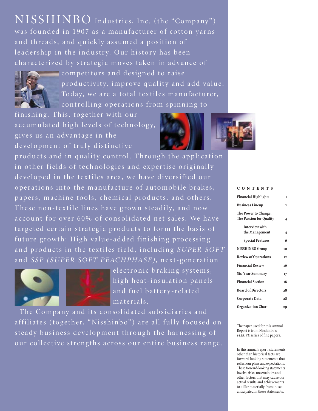NISSHINBO Industries, Inc. (the "Company") was founded in 1907 as a manufacturer of cotton yarns and threads, and quickly assumed a position of leadership in the industry. Our history has been characterized by strategic moves taken in advance of



competitors and designed to raise productivity, improve quality and add value. Today, we are a total textiles manufacturer, controlling operations from spinning to

finishing. This, together with our accumulated high levels of technology, gives us an advantage in the development of truly distinctive



products and in quality control. Through the application in other fields of technologies and expertise originally developed in the textiles area, we have diversified our operations into the manufacture of automobile brakes, papers, machine tools, chemical products, and others. These non-textile lines have grown steadily, and now account for over 60% of consolidated net sales. We have targeted certain strategic products to form the basis of future growth: High value-added finishing processing and products in the textiles field, including *SUPER SOFT* and *SSP (SUPER SOFT PEACHPHASE)*, next-generation



electronic braking systems, high heat-insulation panels and fuel battery-related materials.

The Company and its consolidated subsidiaries and affiliates (together, "Nisshinbo") are all fully focused on steady business development through the harnessing of our collective strengths across our entire business range.

| CONTENTS                                        |                |
|-------------------------------------------------|----------------|
| <b>Financial Highlights</b>                     | $\mathbf{1}$   |
| <b>Business Lineup</b>                          | $\overline{a}$ |
| The Power to Change,<br>The Passion for Quality | 4              |
| <b>Interview with</b><br>the Management         | $\overline{4}$ |
| <b>Special Features</b>                         | 6              |
| <b>NISSHINBO Group</b>                          | 10             |
| <b>Review of Operations</b>                     | 12             |
| <b>Financial Review</b>                         | 16             |
| Six-Year Summary                                | 17             |
| <b>Financial Section</b>                        | 18             |
| <b>Board of Directors</b>                       | 28             |
| Corporate Data                                  | 28             |
| <b>Organization Chart</b>                       | 29             |

The paper used for this Annual Report is from Nisshinbo's *FLEUVE* series of fine papers.

In this annual report, statements other than historical facts are forward-looking statements that reflect our plans and expectations. These forward-looking statements involve risks, uncertainties and other factors that may cause our actual results and achievements to differ materially from those anticipated in these statements.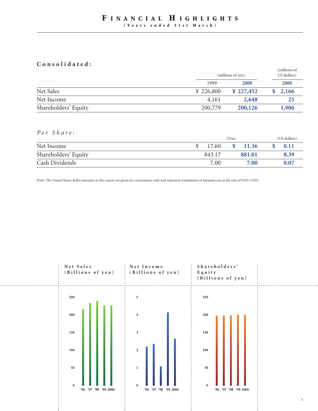#### **F INANCIAL H IGHLIGHTS (Years ended 31st March)**

#### **Consolidated:**

|                      |           | (millions of yen) |       |  |
|----------------------|-----------|-------------------|-------|--|
|                      | 1999      | 2000              | 2000  |  |
| Net Sales            | ¥ 226,800 | ¥ 227,452         | 2,166 |  |
| Net Income           | 4,161     | 2,648             | 25    |  |
| Shareholders' Equity | 200,779   | 200,126           | 1,906 |  |

#### *Per Share* :

|                      |  | (Yen)  |  |                   |  | (US dollars) |  |
|----------------------|--|--------|--|-------------------|--|--------------|--|
| Net Income           |  | 17.60  |  | $\frac{4}{11.36}$ |  | 0.11         |  |
| Shareholders' Equity |  | 843.17 |  | 881.01            |  | 8.39         |  |
| Cash Dividends       |  | 7.00   |  | 7.00              |  | 0.07         |  |

Note: The United States dollar amounts in this report are given for convenience only and represent translations of Japanese yen at the rate of ¥105=US\$1.



 $\,1\,$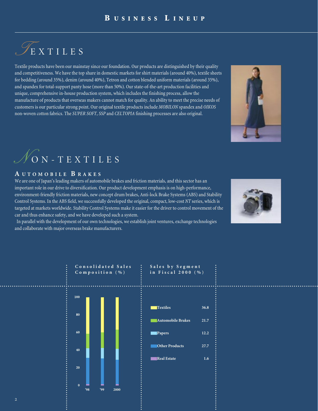# *T*EXTILES

Textile products have been our mainstay since our foundation. Our products are distinguished by their quality and competitiveness. We have the top share in domestic markets for shirt materials (around 40%), textile sheets for bedding (around 35%), denim (around 40%), Tetron and cotton blended uniform materials (around 35%), and spandex for total-support panty hose (more than 50%). Our state-of-the-art production facilities and unique, comprehensive in-house production system, which includes the finishing process, allow the manufacture of products that overseas makers cannot match for quality. An ability to meet the precise needs of customers is our particular strong point. Our original textile products include *MOBILON* spandex and *OIKOS* non-woven cotton fabrics. The *SUPER SOFT*, *SSP* and *CELTOPIA* finishing processes are also original.



# *N* ON-TEXTILES

#### **A UTOMOBILE B RAKES**

We are one of Japan's leading makers of automobile brakes and friction materials, and this sector has an important role in our drive to diversification. Our product development emphasis is on high-performance, environment-friendly friction materials, new concept drum brakes, Anti-lock Brake Systems (ABS) and Stability Control Systems. In the ABS field, we successfully developed the original, compact, low-cost *NT* series, which is targeted at markets worldwide. Stability Control Systems make it easier for the driver to control movement of the car and thus enhance safety, and we have developed such a system.



In parallel with the development of our own technologies, we establish joint ventures, exchange technologies and collaborate with major overseas brake manufacturers.

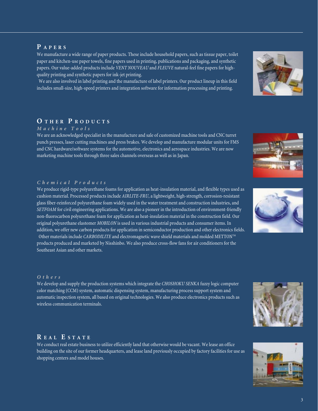#### **P APERS**

We manufacture a wide range of paper products. These include household papers, such as tissue paper, toilet paper and kitchen-use paper towels, fine papers used in printing, publications and packaging, and synthetic papers. Our value-added products include *VENT NOUVEAU* and *FLEUVE* natural-feel fine papers for highquality printing and synthetic papers for ink-jet printing.

We are also involved in label printing and the manufacture of label printers. Our product lineup in this field includes small-size, high-speed printers and integration software for information processing and printing.

#### **O THER P RODUCTS**

*Machine Tools* 

We are an acknowledged specialist in the manufacture and sale of customized machine tools and CNC turret punch presses, laser cutting machines and press brakes. We develop and manufacture modular units for FMS and CNC hardware/software systems for the automotive, electronics and aerospace industries. We are now marketing machine tools through three sales channels overseas as well as in Japan.

#### *Chemical Products*

We produce rigid-type polyurethane foams for application as heat-insulation material, and flexible types used as cushion material. Processed products include *AIRLITE-FRU*, a lightweight, high-strength, corrosion-resistant glass fiber-reinforced polyurethane foam widely used in the water treatment and construction industries, and *SETFOAM* for civil engineering applications. We are also a pioneer in the introduction of environment-friendly non-fluorocarbon polyurethane foam for application as heat-insulation material in the construction field. Our original polyurethane elastomer *MOBILON* is used in various industrial products and consumer items. In addition, we offer new carbon products for application in semiconductor production and other electronics fields. Other materials include *CARBODILITE* and electromagnetic wave shield materials and molded METTONTM products produced and marketed by Nisshinbo. We also produce cross-flow fans for air conditioners for the Southeast Asian and other markets.

*Others*

We develop and supply the production systems which integrate the *CHOSHOKU SENKA* fuzzy logic computer color matching (CCM) system, automatic dispensing system, manufacturing process support system and automatic inspection system, all based on original technologies. We also produce electronics products such as wireless communication terminals.

#### **R EAL E STATE**

We conduct real estate business to utilize efficiently land that otherwise would be vacant. We lease an office building on the site of our former headquarters, and lease land previously occupied by factory facilities for use as shopping centers and model houses.











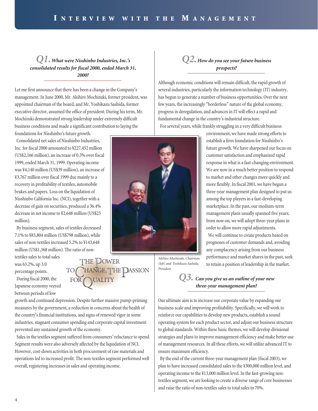*Q1. What were Nisshinbo Industries, Inc.'s consolidated results for fiscal 2000, ended March 31, 2000?*

Let me first announce that there has been a change in the Company's management. In June 2000, Mr. Akihiro Mochizuki, former president, was appointed chairman of the board, and Mr. Yoshikazu Sashida, former executive director, assumed the office of president. During his term, Mr. Mochizuki demonstrated strong leadership under extremely difficult business conditions and made a significant contribution to laying the foundations for Nisshinbo's future growth.

Consolidated net sales of Nisshinbo Industries, Inc. for fiscal 2000 amounted to ¥227,452 million (US\$2,166 million), an increase of 0.3% over fiscal 1999, ended March 31, 1999. Operating income was ¥4,140 million (US\$39 million), an increase of ¥3,767 million over fiscal 1999 due mainly to a recovery in profitability of textiles, automobile brakes and papers. Loss on the liquidation of Nisshinbo California Inc. (NCI), together with a decrease of gain on securities, produced a 36.4% decrease in net income to ¥2,648 million (US\$25 million).

By business segment, sales of textiles decreased 7.1% to ¥83,804 million (US\$798 million), while sales of non-textiles increased 5.2% to ¥143,648 million (US\$1,368 million). The ratio of non-

textiles sales to total sales was 63.2%, up 3.0 percentage points. During fiscal 2000, the

Japanese economy veered between periods of low



**THE DOWER** 

**NALITY** 

**HANGE, THE DASSION** 

Sales in the textiles segment suffered from consumers' reluctance to spend. Segment results were also adversely affected by the liquidation of NCI. However, cost-down activities in both procurement of raw materials and operations led to increased profit. The non-textiles segment performed well overall, registering increases in sales and operating income.

#### *Q2. How do you see your future business prospects?*

Although economic conditions will remain difficult, the rapid growth of several industries, particularly the information technology (IT) industry, has begun to generate a number of business opportunities. Over the next few years, the increasingly "borderless" nature of the global economy, progress in deregulation, and advances in IT will effect a rapid and fundamental change in the country's industrial structure. For several years, while frankly struggling in a very difficult business

> environment, we have made strong efforts to establish a firm foundation for Nisshinbo's future growth. We have sharpened our focus on customer satisfaction and emphasized rapid response in what is a fast-changing environment. We are now in a much better position to respond to market and other changes more quickly and more flexibly. In fiscal 2001, we have begun a three-year management plan designed to put us among the top players in a fast-developing marketplace. In the past, our medium-term management plans usually spanned five years; from now on, we will adopt three-year plans in order to allow more rapid adjustments.

> We will continue to create products based on prognoses of customer demands and, avoiding any complacency arising from our business performance and market shares in the past, seek to retain a position of leadership in the market.

*Q3. Can you give us an outline of your new three-year management plan?*

Our ultimate aim is to increase our corporate value by expanding our business scale and improving profitability. Specifically, we will work to reinforce our capabilities to develop new products, establish a sound operating system for each product sector, and adjust our business structure to global standards. Within these basic themes, we will develop divisional strategies and plans to improve management efficiency and make better use of management resources. In all these efforts, we will utilize advanced IT to ensure maximum efficiency.

By the end of the current three-year management plan (fiscal 2003), we plan to have increased consolidated sales to the ¥300,000 million level, and operating income to the ¥13,000 million level. In the fast-growing nontextiles segment, we are looking to create a diverse range of core businesses and raise the ratio of non-textiles sales to total sales to 70%.



*Akihiro Mochizuki, Chairman (left) and Yoshikazu Sashida,*

*President*